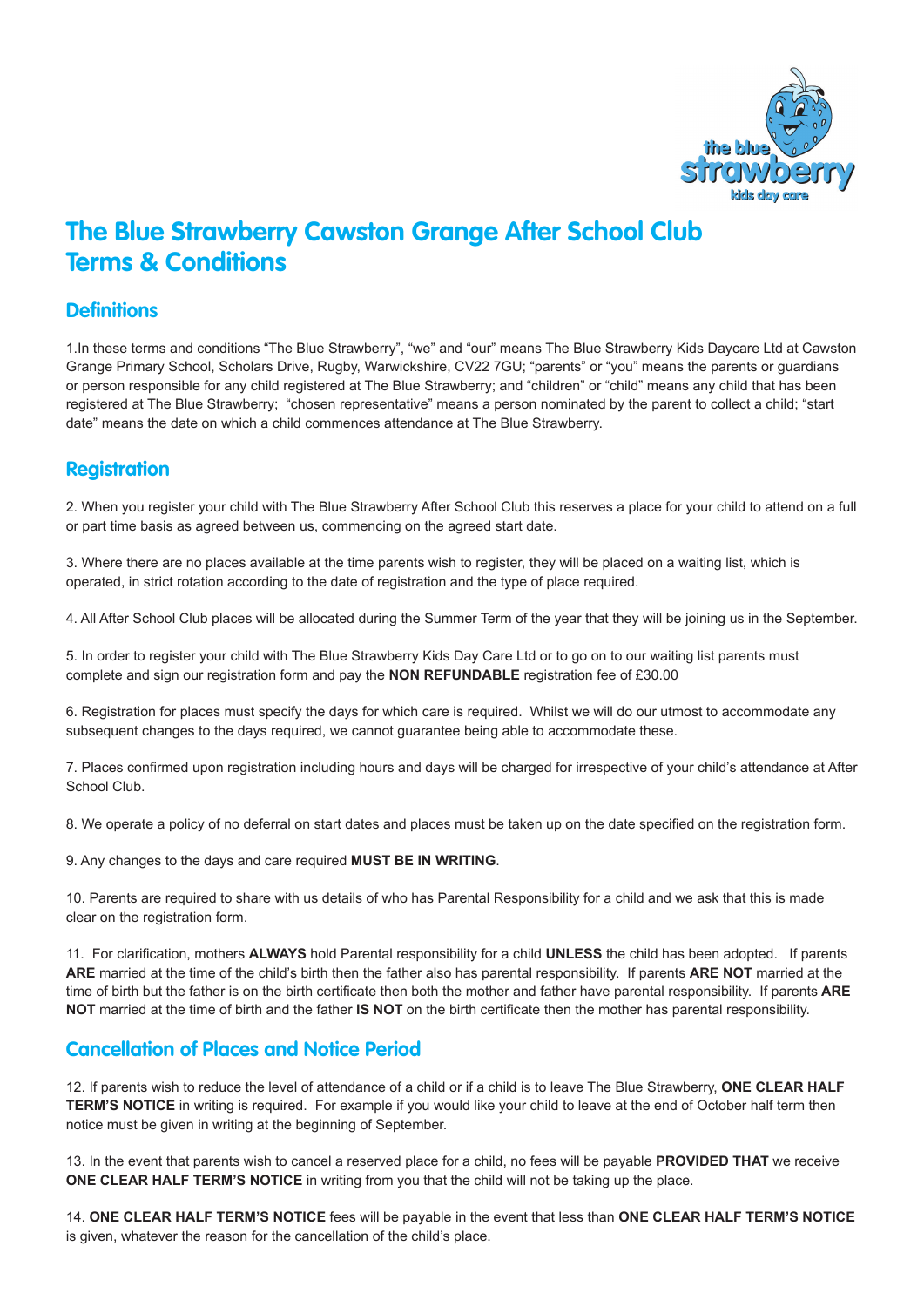

# **The Blue Strawberry Cawston Grange After School Club Terms & Conditions**

### **Definitions**

1.In these terms and conditions "The Blue Strawberry", "we" and "our" means The Blue Strawberry Kids Daycare Ltd at Cawston Grange Primary School, Scholars Drive, Rugby, Warwickshire, CV22 7GU; "parents" or "you" means the parents or guardians or person responsible for any child registered at The Blue Strawberry; and "children" or "child" means any child that has been registered at The Blue Strawberry; "chosen representative" means a person nominated by the parent to collect a child; "start date" means the date on which a child commences attendance at The Blue Strawberry.

## **Registration**

2. When you register your child with The Blue Strawberry After School Club this reserves a place for your child to attend on a full or part time basis as agreed between us, commencing on the agreed start date.

3. Where there are no places available at the time parents wish to register, they will be placed on a waiting list, which is operated, in strict rotation according to the date of registration and the type of place required.

4. All After School Club places will be allocated during the Summer Term of the year that they will be joining us in the September.

5. In order to register your child with The Blue Strawberry Kids Day Care Ltd or to go on to our waiting list parents must complete and sign our registration form and pay the **NON REFUNDABLE** registration fee of £30.00

6. Registration for places must specify the days for which care is required. Whilst we will do our utmost to accommodate any subsequent changes to the days required, we cannot guarantee being able to accommodate these.

7. Places confirmed upon registration including hours and days will be charged for irrespective of your child's attendance at After School Club.

8. We operate a policy of no deferral on start dates and places must be taken up on the date specified on the registration form.

9. Any changes to the days and care required **MUST BE IN WRITING**.

10. Parents are required to share with us details of who has Parental Responsibility for a child and we ask that this is made clear on the registration form.

11. For clarification, mothers **ALWAYS** hold Parental responsibility for a child **UNLESS** the child has been adopted. If parents **ARE** married at the time of the child's birth then the father also has parental responsibility. If parents **ARE NOT** married at the time of birth but the father is on the birth certificate then both the mother and father have parental responsibility. If parents **ARE NOT** married at the time of birth and the father **IS NOT** on the birth certificate then the mother has parental responsibility.

### **Cancellation of Places and Notice Period**

12. If parents wish to reduce the level of attendance of a child or if a child is to leave The Blue Strawberry, **ONE CLEAR HALF TERM'S NOTICE** in writing is required. For example if you would like your child to leave at the end of October half term then notice must be given in writing at the beginning of September.

13. In the event that parents wish to cancel a reserved place for a child, no fees will be payable **PROVIDED THAT** we receive **ONE CLEAR HALF TERM'S NOTICE** in writing from you that the child will not be taking up the place.

14. **ONE CLEAR HALF TERM'S NOTICE** fees will be payable in the event that less than **ONE CLEAR HALF TERM'S NOTICE** is given, whatever the reason for the cancellation of the child's place.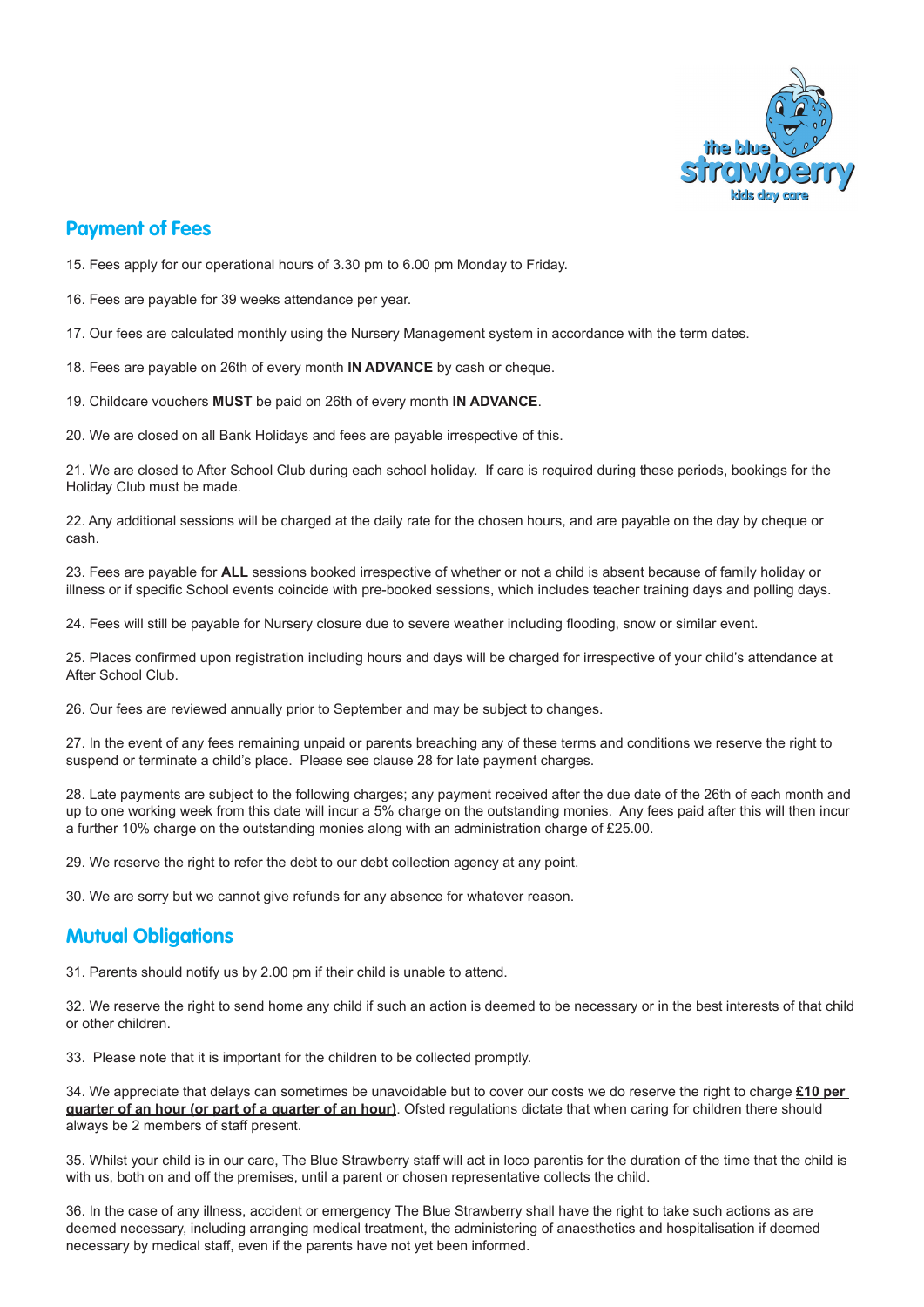

#### **Payment of Fees**

15. Fees apply for our operational hours of 3.30 pm to 6.00 pm Monday to Friday.

16. Fees are payable for 39 weeks attendance per year.

17. Our fees are calculated monthly using the Nursery Management system in accordance with the term dates.

18. Fees are payable on 26th of every month **IN ADVANCE** by cash or cheque.

19. Childcare vouchers **MUST** be paid on 26th of every month **IN ADVANCE**.

20. We are closed on all Bank Holidays and fees are payable irrespective of this.

21. We are closed to After School Club during each school holiday. If care is required during these periods, bookings for the Holiday Club must be made.

22. Any additional sessions will be charged at the daily rate for the chosen hours, and are payable on the day by cheque or cash.

23. Fees are payable for **ALL** sessions booked irrespective of whether or not a child is absent because of family holiday or illness or if specific School events coincide with pre-booked sessions, which includes teacher training days and polling days.

24. Fees will still be payable for Nursery closure due to severe weather including flooding, snow or similar event.

25. Places confirmed upon registration including hours and days will be charged for irrespective of your child's attendance at After School Club.

26. Our fees are reviewed annually prior to September and may be subject to changes.

27. In the event of any fees remaining unpaid or parents breaching any of these terms and conditions we reserve the right to suspend or terminate a child's place. Please see clause 28 for late payment charges.

28. Late payments are subject to the following charges; any payment received after the due date of the 26th of each month and up to one working week from this date will incur a 5% charge on the outstanding monies. Any fees paid after this will then incur a further 10% charge on the outstanding monies along with an administration charge of £25.00.

29. We reserve the right to refer the debt to our debt collection agency at any point.

30. We are sorry but we cannot give refunds for any absence for whatever reason.

#### **Mutual Obligations**

31. Parents should notify us by 2.00 pm if their child is unable to attend.

32. We reserve the right to send home any child if such an action is deemed to be necessary or in the best interests of that child or other children.

33. Please note that it is important for the children to be collected promptly.

34. We appreciate that delays can sometimes be unavoidable but to cover our costs we do reserve the right to charge **£10 per quarter of an hour (or part of a quarter of an hour)**. Ofsted regulations dictate that when caring for children there should always be 2 members of staff present.

35. Whilst your child is in our care, The Blue Strawberry staff will act in loco parentis for the duration of the time that the child is with us, both on and off the premises, until a parent or chosen representative collects the child.

36. In the case of any illness, accident or emergency The Blue Strawberry shall have the right to take such actions as are deemed necessary, including arranging medical treatment, the administering of anaesthetics and hospitalisation if deemed necessary by medical staff, even if the parents have not yet been informed.